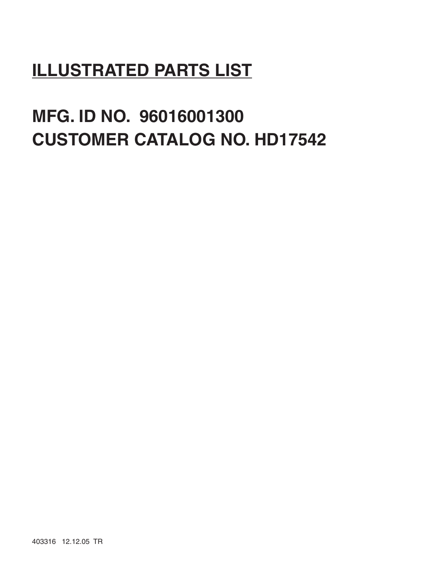## **ILLUSTRATED PARTS LIST**

# **MFG. ID NO. 96016001300 CUSTOMER CATALOG NO. HD17542**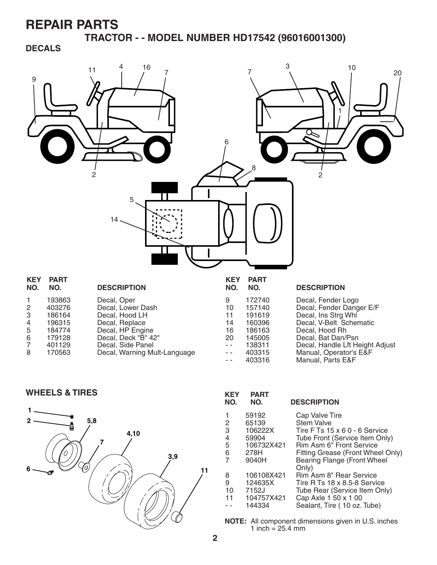**TRACTOR - - MODEL NUMBER HD17542 (96016001300)**

#### **DECALS**



| -6 | 179128 | Decal, Deck "B" 42"          |
|----|--------|------------------------------|
|    | 401129 | Decal, Side Panel            |
| -8 | 170563 | Decal, Warning Mult-Language |

| IVU.                | IVU.   | <b>DEJUNIFIJUN</b> |
|---------------------|--------|--------------------|
| 9                   | 172740 | Decal, Fender L    |
| 10                  | 157140 | Decal, Fender D    |
| 11                  | 191619 | Decal, Ins Strg V  |
| 14                  | 160396 | Decal, V-Belt So   |
| 16                  | 186163 | Decal, Hood Rh     |
| 20                  | 145005 | Decal, Bat Dan/I   |
| $\omega_{\rm{eff}}$ | 138311 | Decal, Handle Li   |
| $\sim$ $\sim$       | 403315 | Manual, Operato    |
|                     | 100010 |                    |

al, Bat Dan/Psn -- 138311 Decal, Handle Lft Height Adjust<br>-- 403315 Manual, Operator's E&F - - 403315 Manual, Operator's E&F 403316 Manual, Parts E&F

**WHEELS & TIRES KEY PART** 



| NO. | NO.        | <b>DESCRIPTION</b>                          |
|-----|------------|---------------------------------------------|
| 1   | 59192      | Cap Valve Tire                              |
| 2   | 65139      | <b>Stem Valve</b>                           |
| 3   | 106222X    | Tire F Ts 15 x 6 0 - 6 Service              |
| 4   | 59904      | Tube Front (Service Item Only)              |
| 5   | 106732X421 | Rim Asm 6" Front Service                    |
| 6   | 278H       | Fitting Grease (Front Wheel Only)           |
|     | 9040H      | <b>Bearing Flange (Front Wheel</b><br>Only) |
| 8   | 106108X421 | Rim Asm 8" Rear Service                     |
| 9   | 124635X    | Tire R Ts 18 x 8.5-8 Service                |
| 10  | 7152J      | Tube Rear (Service Item Only)               |
| 11  | 104757X421 | Cap Axle 1 50 x 1 00                        |
|     | 144334     | Sealant, Tire (10 oz. Tube)                 |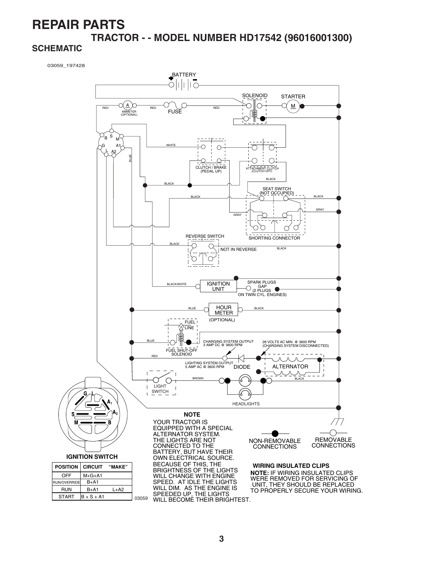### **REPAIR PARTS TRACTOR - - MODEL NUMBER HD17542 (96016001300)**

#### **SCHEMATIC**

03059\_197428

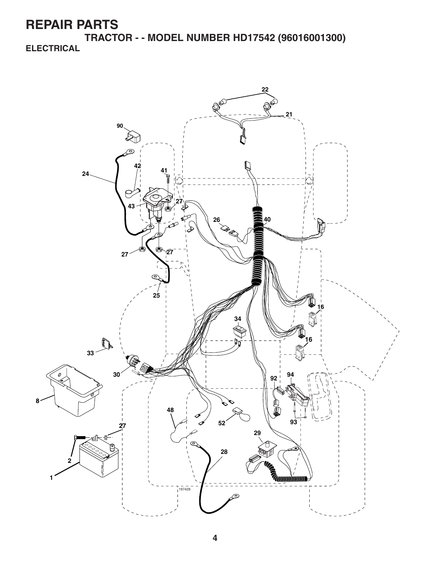**TRACTOR - - MODEL NUMBER HD17542 (96016001300) ELECTRICAL**

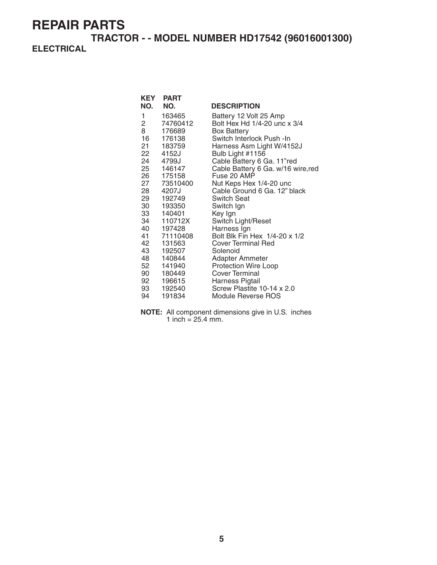**TRACTOR - - MODEL NUMBER HD17542 (96016001300) ELECTRICAL**

|                | <b>KEY PART</b> |                                    |
|----------------|-----------------|------------------------------------|
| NO.            | NO.             | <b>DESCRIPTION</b>                 |
| 1              | 163465          | Battery 12 Volt 25 Amp             |
| $\overline{2}$ | 74760412        | Bolt Hex Hd 1/4-20 unc x 3/4       |
| 8              | 176689          | <b>Box Battery</b>                 |
| 16             | 176138          | Switch Interlock Push - In         |
|                | 21 183759       | Harness Asm Light W/4152J          |
|                | 22 4152J        | Bulb Light #1156                   |
| 24             | 4799J           | Cable Battery 6 Ga. 11"red         |
|                | 25 146147       | Cable Battery 6 Ga. w/16 wire, red |
|                | 26 175158       | Fuse 20 AMP                        |
|                | 27 73510400     | Nut Keps Hex 1/4-20 unc            |
|                | 28 4207J        | Cable Ground 6 Ga. 12" black       |
|                | 29 192749       | <b>Switch Seat</b>                 |
|                | 30 193350       | Switch Ign                         |
|                | 33 140401       | Key Ign                            |
|                | 34 110712X      | Switch Light/Reset                 |
|                | 40 197428       | Harness Ign                        |
|                | 41 71110408     | Bolt Blk Fin Hex 1/4-20 x 1/2      |
| 42             | 131563          | Cover Terminal Red                 |
|                | 43 192507       | Solenoid                           |
|                | 48 140844       | Adapter Ammeter                    |
| 52             | 141940          | <b>Protection Wire Loop</b>        |
|                | 90 180449       | Cover Terminal                     |
|                | 92 196615       | Harness Pigtail                    |
|                | 93 192540       | Screw Plastite 10-14 x 2.0         |
| 94             | 191834          | Module Reverse ROS                 |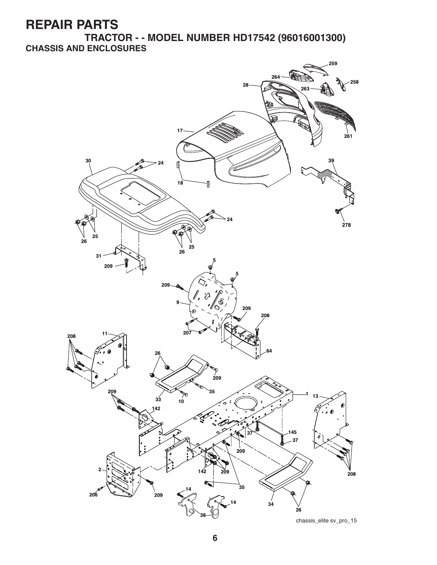**TRACTOR - - MODEL NUMBER HD17542 (96016001300) CHASSIS AND ENCLOSURES**

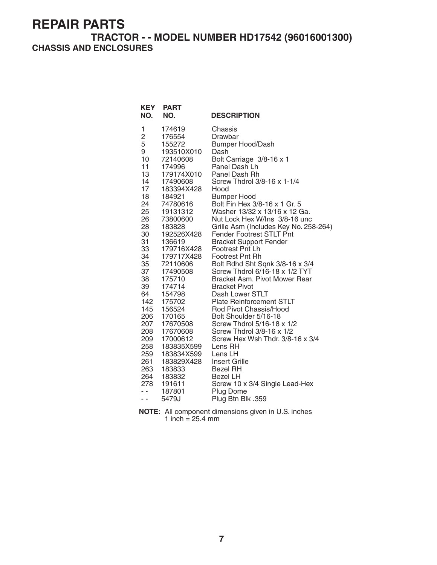#### **TRACTOR - - MODEL NUMBER HD17542 (96016001300) CHASSIS AND ENCLOSURES**

| <b>KEY</b><br>NO. | <b>PART</b><br>NO. | <b>DESCRIPTION</b>                    |
|-------------------|--------------------|---------------------------------------|
| 1                 | 174619             | Chassis                               |
| $\overline{c}$    | 176554             | Drawbar                               |
| 5                 | 155272             | <b>Bumper Hood/Dash</b>               |
| 9                 | 193510X010         | Dash                                  |
| 10                | 72140608           | Bolt Carriage 3/8-16 x 1              |
| 11                | 174996             | Panel Dash Lh                         |
| 13                | 179174X010         | Panel Dash Rh                         |
| 14                | 17490608           | Screw Thdrol 3/8-16 x 1-1/4           |
| 17                | 183394X428         | Hood                                  |
| 18                | 184921             | <b>Bumper Hood</b>                    |
| 24                | 74780616           | Bolt Fin Hex 3/8-16 x 1 Gr. 5         |
| 25                | 19131312           | Washer 13/32 x 13/16 x 12 Ga.         |
| 26                | 73800600           | Nut Lock Hex W/Ins 3/8-16 unc         |
| 28                | 183828             | Grille Asm (Includes Key No. 258-264) |
| 30                | 192526X428         | <b>Fender Footrest STLT Pnt</b>       |
| 31                | 136619             | <b>Bracket Support Fender</b>         |
| 33                | 179716X428         | Footrest Pnt Lh                       |
| 34                | 179717X428         | <b>Footrest Pnt Rh</b>                |
| 35                | 72110606           | Bolt Rdhd Sht Sqnk 3/8-16 x 3/4       |
| 37                | 17490508           | Screw Thdrol 6/16-18 x 1/2 TYT        |
| 38                | 175710             | Bracket Asm. Pivot Mower Rear         |
| 39                | 174714             | <b>Bracket Pivot</b>                  |
| 64                | 154798             | Dash Lower STLT                       |
| 142               | 175702             | <b>Plate Reinforcement STLT</b>       |
| 145               | 156524             | Rod Pivot Chassis/Hood                |
| 206               | 170165             | Bolt Shoulder 5/16-18                 |
| 207               | 17670508           | Screw Thdrol 5/16-18 x 1/2            |
| 208               | 17670608           | Screw Thdrol 3/8-16 x 1/2             |
| 209               | 17000612           | Screw Hex Wsh Thdr. 3/8-16 x 3/4      |
| 258               | 183835X599         | Lens RH                               |
| 259               | 183834X599         | Lens LH                               |
| 261               | 183829X428         | <b>Insert Grille</b>                  |
| 263               | 183833             | <b>Bezel RH</b>                       |
| 264               | 183832             | Bezel LH                              |
| 278               | 191611             | Screw 10 x 3/4 Single Lead-Hex        |
| . .               | 187801             | Plug Dome                             |
| - -               | 5479J              | Plug Btn Blk .359                     |

**NOTE:** All component dimensions given in U.S. inches 1 inch  $= 25.4$  mm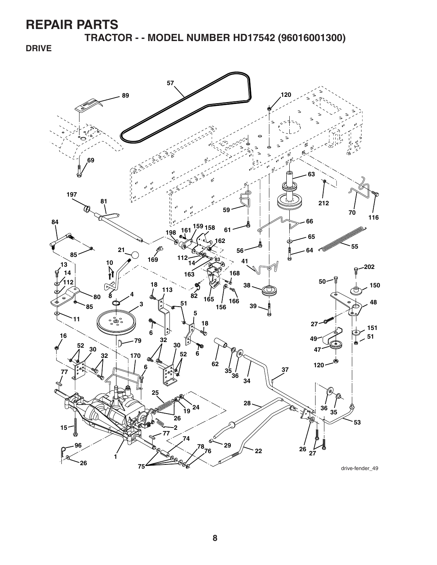**TRACTOR - - MODEL NUMBER HD17542 (96016001300)**

**DRIVE**



drive-fender\_49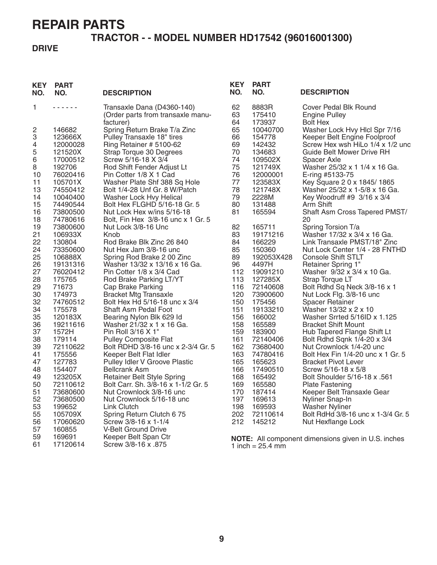#### **TRACTOR - - MODEL NUMBER HD17542 (96016001300)**

#### **DRIVE**

| <b>KEY</b><br>NO. | <b>PART</b><br>NO.   | <b>DESCRIPTION</b>                                                       | <b>KEY</b><br>NO. | <b>PART</b><br>NO. | <b>DESCRIPTION</b>                                               |
|-------------------|----------------------|--------------------------------------------------------------------------|-------------------|--------------------|------------------------------------------------------------------|
| 1                 | <u>.</u>             | Transaxle Dana (D4360-140)                                               | 62                | 8883R              | Cover Pedal Blk Round                                            |
|                   |                      | (Order parts from transaxle manu-                                        | 63                | 175410             | <b>Engine Pulley</b>                                             |
|                   |                      | facturer)                                                                | 64                | 173937             | <b>Bolt Hex</b>                                                  |
| 2                 | 146682               | Spring Return Brake T/a Zinc                                             | 65<br>66          | 10040700           | Washer Lock Hvy Hlcl Spr 7/16                                    |
| 3<br>4            | 123666X<br>12000028  | Pulley Transaxle 18" tires<br>Ring Retainer # 5100-62                    | 69                | 154778<br>142432   | Keeper Belt Engine Foolproof<br>Screw Hex wsh HiLo 1/4 x 1/2 unc |
| 5                 | 121520X              | Strap Torque 30 Degrees                                                  | 70                | 134683             | Guide Belt Mower Drive RH                                        |
| 6                 | 17000512             | Screw 5/16-18 X 3/4                                                      | 74                | 109502X            | Spacer Axle                                                      |
| 8                 | 192706               | Rod Shift Fender Adjust Lt                                               | 75                | 121749X            | Washer 25/32 x 1 1/4 x 16 Ga.                                    |
| 10                | 76020416             | Pin Cotter 1/8 X 1 Cad                                                   | 76                | 12000001           | E-ring #5133-75                                                  |
| 11                | 105701X              | Washer Plate Shf 388 Sq Hole                                             | 77                | 123583X            | Key Square 2 0 x 1845/1865                                       |
| 13                | 74550412             | Bolt 1/4-28 Unf Gr. 8 W/Patch                                            | 78                | 121748X            | Washer 25/32 x 1-5/8 x 16 Ga.                                    |
| 14                | 10040400             | Washer Lock Hvy Helical                                                  | 79                | 2228M              | Key Woodruff #9 3/16 x 3/4                                       |
| 15                | 74490544             | Bolt Hex FLGHD 5/16-18 Gr. 5                                             | 80                | 131488             | Arm Shift                                                        |
| 16                | 73800500             | Nut Lock Hex w/ins 5/16-18                                               | 81                | 165594             | Shaft Asm Cross Tapered PMST/                                    |
| 18                | 74780616             | Bolt, Fin Hex 3/8-16 unc x 1 Gr. 5                                       |                   |                    | 20                                                               |
| 19                | 73800600             | Nut Lock 3/8-16 Unc                                                      | 82                | 165711             | Spring Torsion T/a                                               |
| 21                | 106933X              | Knob                                                                     | 83                | 19171216           | Washer 17/32 x 3/4 x 16 Ga.                                      |
| 22                | 130804               | Rod Brake Blk Zinc 26 840                                                | 84                | 166229             | Link Transaxle PMST/18" Zinc                                     |
| 24                | 73350600             | Nut Hex Jam 3/8-16 unc                                                   | 85                | 150360             | Nut Lock Center 1/4 - 28 FNTHD                                   |
| 25                | 106888X              | Spring Rod Brake 2 00 Zinc                                               | 89<br>96          | 192053X428         | <b>Console Shift STLT</b>                                        |
| 26<br>27          | 19131316<br>76020412 | Washer 13/32 x 13/16 x 16 Ga.<br>Pin Cotter 1/8 x 3/4 Cad                | 112               | 4497H<br>19091210  | <b>Retainer Spring 1"</b><br>Washer 9/32 x 3/4 x 10 Ga.          |
| 28                | 175765               | Rod Brake Parking LT/YT                                                  | 113               | 127285X            | Strap Torque LT                                                  |
| 29                | 71673                | Cap Brake Parking                                                        | 116               | 72140608           | Bolt Rdhd Sq Neck 3/8-16 x 1                                     |
| 30                | 174973               | <b>Bracket Mtg Transaxle</b>                                             | 120               | 73900600           | Nut Lock Flg. 3/8-16 unc                                         |
| 32                | 74760512             | Bolt Hex Hd 5/16-18 unc x 3/4                                            | 150               | 175456             | Spacer Retainer                                                  |
| 34                | 175578               | Shaft Asm Pedal Foot                                                     | 151               | 19133210           | Washer 13/32 x 2 x 10                                            |
| 35                | 120183X              | Bearing Nylon Blk 629 Id                                                 | 156               | 166002             | Washer Srrted 5/16ID x 1.125                                     |
| 36                | 19211616             | Washer 21/32 x 1 x 16 Ga.                                                | 158               | 165589             | <b>Bracket Shift Mount</b>                                       |
| 37                | 1572H                | Pin Roll 3/16 X 1"                                                       | 159               | 183900             | Hub Tapered Flange Shift Lt                                      |
| 38                | 179114               | <b>Pulley Composite Flat</b>                                             | 161               | 72140406           | Bolt Rdhd Sqnk 1/4-20 x 3/4                                      |
| 39                | 72110622             | Bolt RDHD 3/8-16 unc x 2-3/4 Gr. 5                                       | 162               | 73680400           | Nut Crownlock 1/4-20 unc                                         |
| 41                | 175556               | Keeper Belt Flat Idler                                                   | 163               | 74780416           | Bolt Hex Fin 1/4-20 unc x 1 Gr. 5                                |
| 47                | 127783               | Pulley Idler V Groove Plastic                                            | 165               | 165623             | <b>Bracket Pivot Lever</b>                                       |
| 48                | 154407               | <b>Bellcrank Asm</b>                                                     | 166               | 17490510           | Screw 5/16-18 x 5/8                                              |
| 49<br>50          | 123205X<br>72110612  | <b>Retainer Belt Style Spring</b><br>Bolt Carr. Sh. 3/8-16 x 1-1/2 Gr. 5 | 168<br>169        | 165492<br>165580   | Bolt Shoulder 5/16-18 x .561                                     |
| 51                | 73680600             | Nut Crownlock 3/8-16 unc                                                 | 170               | 187414             | <b>Plate Fastening</b><br>Keeper Belt Transaxle Gear             |
| 52                | 73680500             | Nut Crownlock 5/16-18 unc                                                | 197               | 169613             | Nyliner Snap-In                                                  |
| 53                | 199652               | Link Clutch                                                              | 198               | 169593             | <b>Washer Nyliner</b>                                            |
| 55                | 105709X              | Spring Return Clutch 6 75                                                | 202               | 72110614           | Bolt RdHd 3/8-16 unc x 1-3/4 Gr. 5                               |
| 56                | 17060620             | Screw 3/8-16 x 1-1/4                                                     | 212               | 145212             | Nut Hexflange Lock                                               |
| 57                | 160855               | V-Belt Ground Drive                                                      |                   |                    |                                                                  |
| 59                | 169691               | Keeper Belt Span Ctr                                                     |                   |                    | NOTE: All component dimensions given in U.S. inches              |
| 61                | 17120614             | 875. Screw 3/8-16 x                                                      |                   | 1 inch = $25.4$ mm |                                                                  |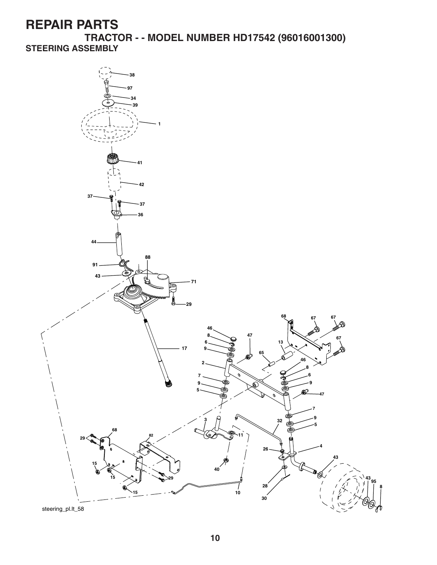**TRACTOR - - MODEL NUMBER HD17542 (96016001300) STEERING ASSEMBLY**

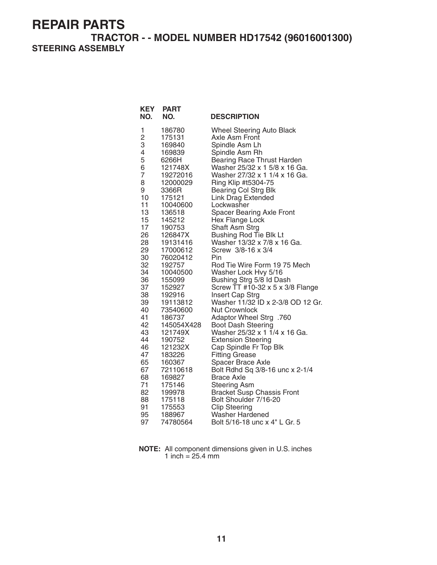**TRACTOR - - MODEL NUMBER HD17542 (96016001300) STEERING ASSEMBLY**

| <b>Wheel Steering Auto Black</b><br>1<br>186780<br>2<br>175131<br>Axle Asm Front<br>3<br>Spindle Asm Lh<br>169840<br>4<br>Spindle Asm Rh<br>169839<br>5<br>Bearing Race Thrust Harden<br>6266H<br>6<br>Washer 25/32 x 1 5/8 x 16 Ga.<br>121748X<br>$\overline{7}$<br>Washer 27/32 x 1 1/4 x 16 Ga.<br>19272016<br>Ring Klip #t5304-75<br>8<br>12000029<br>9<br>3366R<br><b>Bearing Col Strg Blk</b><br>10<br><b>Link Drag Extended</b><br>175121<br>11<br>10040600<br>Lockwasher<br>13<br><b>Spacer Bearing Axle Front</b><br>136518<br>15<br>145212<br>Hex Flange Lock<br>17<br>Shaft Asm Strg<br>190753<br>26<br>Bushing Rod Tie Blk Lt<br>126847X<br>28<br>Washer 13/32 x 7/8 x 16 Ga.<br>19131416<br>29<br>17000612<br>Screw 3/8-16 x 3/4<br>30<br>76020412<br>Pin<br>32<br>Rod Tie Wire Form 19 75 Mech<br>192757<br>34<br>Washer Lock Hvy 5/16<br>10040500<br>36<br>Bushing Strg 5/8 Id Dash<br>155099<br>Screw $TT$ #10-32 x 5 x 3/8 Flange<br>37<br>152927<br>38<br>Insert Cap Strg<br>192916<br>Washer 11/32 ID x 2-3/8 OD 12 Gr.<br>39<br>19113812<br>40<br>73540600<br><b>Nut Crownlock</b><br>41<br>Adaptor Wheel Strg .760<br>186737 |
|---------------------------------------------------------------------------------------------------------------------------------------------------------------------------------------------------------------------------------------------------------------------------------------------------------------------------------------------------------------------------------------------------------------------------------------------------------------------------------------------------------------------------------------------------------------------------------------------------------------------------------------------------------------------------------------------------------------------------------------------------------------------------------------------------------------------------------------------------------------------------------------------------------------------------------------------------------------------------------------------------------------------------------------------------------------------------------------------------------------------------------------------------|
|                                                                                                                                                                                                                                                                                                                                                                                                                                                                                                                                                                                                                                                                                                                                                                                                                                                                                                                                                                                                                                                                                                                                                   |
|                                                                                                                                                                                                                                                                                                                                                                                                                                                                                                                                                                                                                                                                                                                                                                                                                                                                                                                                                                                                                                                                                                                                                   |
|                                                                                                                                                                                                                                                                                                                                                                                                                                                                                                                                                                                                                                                                                                                                                                                                                                                                                                                                                                                                                                                                                                                                                   |
|                                                                                                                                                                                                                                                                                                                                                                                                                                                                                                                                                                                                                                                                                                                                                                                                                                                                                                                                                                                                                                                                                                                                                   |
|                                                                                                                                                                                                                                                                                                                                                                                                                                                                                                                                                                                                                                                                                                                                                                                                                                                                                                                                                                                                                                                                                                                                                   |
|                                                                                                                                                                                                                                                                                                                                                                                                                                                                                                                                                                                                                                                                                                                                                                                                                                                                                                                                                                                                                                                                                                                                                   |
|                                                                                                                                                                                                                                                                                                                                                                                                                                                                                                                                                                                                                                                                                                                                                                                                                                                                                                                                                                                                                                                                                                                                                   |
|                                                                                                                                                                                                                                                                                                                                                                                                                                                                                                                                                                                                                                                                                                                                                                                                                                                                                                                                                                                                                                                                                                                                                   |
|                                                                                                                                                                                                                                                                                                                                                                                                                                                                                                                                                                                                                                                                                                                                                                                                                                                                                                                                                                                                                                                                                                                                                   |
|                                                                                                                                                                                                                                                                                                                                                                                                                                                                                                                                                                                                                                                                                                                                                                                                                                                                                                                                                                                                                                                                                                                                                   |
|                                                                                                                                                                                                                                                                                                                                                                                                                                                                                                                                                                                                                                                                                                                                                                                                                                                                                                                                                                                                                                                                                                                                                   |
|                                                                                                                                                                                                                                                                                                                                                                                                                                                                                                                                                                                                                                                                                                                                                                                                                                                                                                                                                                                                                                                                                                                                                   |
|                                                                                                                                                                                                                                                                                                                                                                                                                                                                                                                                                                                                                                                                                                                                                                                                                                                                                                                                                                                                                                                                                                                                                   |
|                                                                                                                                                                                                                                                                                                                                                                                                                                                                                                                                                                                                                                                                                                                                                                                                                                                                                                                                                                                                                                                                                                                                                   |
|                                                                                                                                                                                                                                                                                                                                                                                                                                                                                                                                                                                                                                                                                                                                                                                                                                                                                                                                                                                                                                                                                                                                                   |
|                                                                                                                                                                                                                                                                                                                                                                                                                                                                                                                                                                                                                                                                                                                                                                                                                                                                                                                                                                                                                                                                                                                                                   |
|                                                                                                                                                                                                                                                                                                                                                                                                                                                                                                                                                                                                                                                                                                                                                                                                                                                                                                                                                                                                                                                                                                                                                   |
|                                                                                                                                                                                                                                                                                                                                                                                                                                                                                                                                                                                                                                                                                                                                                                                                                                                                                                                                                                                                                                                                                                                                                   |
|                                                                                                                                                                                                                                                                                                                                                                                                                                                                                                                                                                                                                                                                                                                                                                                                                                                                                                                                                                                                                                                                                                                                                   |
|                                                                                                                                                                                                                                                                                                                                                                                                                                                                                                                                                                                                                                                                                                                                                                                                                                                                                                                                                                                                                                                                                                                                                   |
|                                                                                                                                                                                                                                                                                                                                                                                                                                                                                                                                                                                                                                                                                                                                                                                                                                                                                                                                                                                                                                                                                                                                                   |
|                                                                                                                                                                                                                                                                                                                                                                                                                                                                                                                                                                                                                                                                                                                                                                                                                                                                                                                                                                                                                                                                                                                                                   |
|                                                                                                                                                                                                                                                                                                                                                                                                                                                                                                                                                                                                                                                                                                                                                                                                                                                                                                                                                                                                                                                                                                                                                   |
|                                                                                                                                                                                                                                                                                                                                                                                                                                                                                                                                                                                                                                                                                                                                                                                                                                                                                                                                                                                                                                                                                                                                                   |
| 42<br><b>Boot Dash Steering</b><br>145054X428                                                                                                                                                                                                                                                                                                                                                                                                                                                                                                                                                                                                                                                                                                                                                                                                                                                                                                                                                                                                                                                                                                     |
| 43<br>Washer 25/32 x 1 1/4 x 16 Ga.<br>121749X                                                                                                                                                                                                                                                                                                                                                                                                                                                                                                                                                                                                                                                                                                                                                                                                                                                                                                                                                                                                                                                                                                    |
| 44<br>190752<br><b>Extension Steering</b>                                                                                                                                                                                                                                                                                                                                                                                                                                                                                                                                                                                                                                                                                                                                                                                                                                                                                                                                                                                                                                                                                                         |
| 46<br>121232X<br>Cap Spindle Fr Top Blk                                                                                                                                                                                                                                                                                                                                                                                                                                                                                                                                                                                                                                                                                                                                                                                                                                                                                                                                                                                                                                                                                                           |
| 47<br>183226<br><b>Fitting Grease</b>                                                                                                                                                                                                                                                                                                                                                                                                                                                                                                                                                                                                                                                                                                                                                                                                                                                                                                                                                                                                                                                                                                             |
| 65<br>160367<br>Spacer Brace Axle                                                                                                                                                                                                                                                                                                                                                                                                                                                                                                                                                                                                                                                                                                                                                                                                                                                                                                                                                                                                                                                                                                                 |
| 67<br>Bolt Rdhd Sq 3/8-16 unc x 2-1/4<br>72110618                                                                                                                                                                                                                                                                                                                                                                                                                                                                                                                                                                                                                                                                                                                                                                                                                                                                                                                                                                                                                                                                                                 |
| 68<br>169827<br>Brace Axle                                                                                                                                                                                                                                                                                                                                                                                                                                                                                                                                                                                                                                                                                                                                                                                                                                                                                                                                                                                                                                                                                                                        |
| 71<br>175146<br><b>Steering Asm</b>                                                                                                                                                                                                                                                                                                                                                                                                                                                                                                                                                                                                                                                                                                                                                                                                                                                                                                                                                                                                                                                                                                               |
| 82<br><b>Bracket Susp Chassis Front</b><br>199978                                                                                                                                                                                                                                                                                                                                                                                                                                                                                                                                                                                                                                                                                                                                                                                                                                                                                                                                                                                                                                                                                                 |
| 88<br>Bolt Shoulder 7/16-20<br>175118<br>91<br>175553                                                                                                                                                                                                                                                                                                                                                                                                                                                                                                                                                                                                                                                                                                                                                                                                                                                                                                                                                                                                                                                                                             |
| <b>Clip Steering</b><br>95<br>188967<br>Washer Hardened                                                                                                                                                                                                                                                                                                                                                                                                                                                                                                                                                                                                                                                                                                                                                                                                                                                                                                                                                                                                                                                                                           |
| 97<br>74780564<br>Bolt 5/16-18 unc x 4" L Gr. 5                                                                                                                                                                                                                                                                                                                                                                                                                                                                                                                                                                                                                                                                                                                                                                                                                                                                                                                                                                                                                                                                                                   |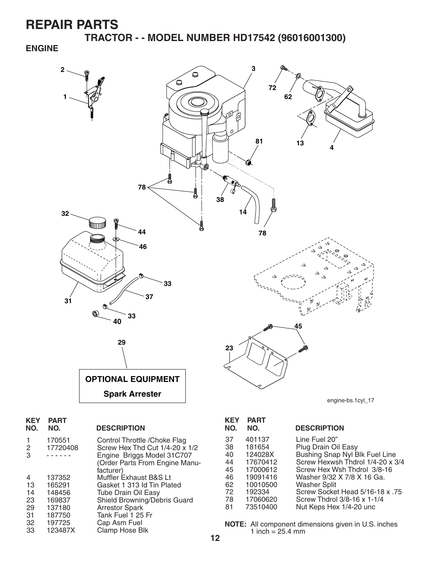**TRACTOR - - MODEL NUMBER HD17542 (96016001300)**

#### **ENGINE**



| <b>KEY</b><br>NO. | <b>PART</b><br>NO. | <b>DESCRIPTION</b>             |
|-------------------|--------------------|--------------------------------|
| 1                 | 170551             | Control Throttle / Choke Flag  |
| 2                 | 17720408           | Screw Hex Thd Cut 1/4-20 x 1/2 |
| 3                 |                    | Engine Briggs Model 31C707     |
|                   |                    | (Order Parts From Engine Manu- |
|                   |                    | facturer)                      |
| 4                 | 137352             | Muffler Exhaust B&S Lt         |
| 13                | 165291             | Gasket 1 313 Id Tin Plated     |
| 14                | 148456             | <b>Tube Drain Oil Easy</b>     |
| 23                | 169837             | Shield Browning/Debris Guard   |
| 29                | 137180             | <b>Arrestor Spark</b>          |
| 31                | 187750             | Tank Fuel 1 25 Fr              |
| 32                | 197725             | Cap Asm Fuel                   |
| 33                | 123487X            | Clamp Hose Blk                 |
|                   |                    |                                |

| <b>KEY</b><br>NO. | <b>PART</b><br>NO. | <b>DESCRIPTION</b>               |
|-------------------|--------------------|----------------------------------|
| 37                | 401137             | Line Fuel 20"                    |
| 38                | 181654             | Plug Drain Oil Easy              |
| 40                | 124028X            | Bushing Snap Nyl Blk Fuel Line   |
| 44                | 17670412           | Screw Hexwsh Thdrol 1/4-20 x 3/4 |
| 45                | 17000612           | Screw Hex Wsh Thdrol 3/8-16      |
| 46                | 19091416           | Washer 9/32 X 7/8 X 16 Ga.       |
| 62                | 10010500           | Washer Split                     |
| 72                | 192334             | Screw Socket Head 5/16-18 x .75  |
| 78                | 17060620           | Screw Thdrol 3/8-16 x 1-1/4      |
| 81                | 73510400           | Nut Keps Hex 1/4-20 unc          |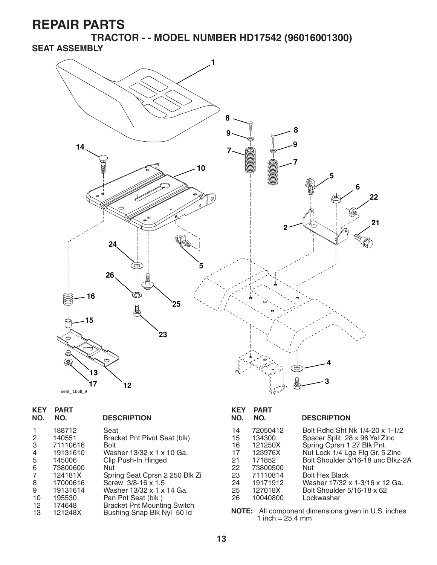**TRACTOR - - MODEL NUMBER HD17542 (96016001300) SEAT ASSEMBLY**



| <b>KEY</b><br>NO.       | <b>PART</b><br>NO. | <b>DESCRIPTION</b>                                               | <b>KEY</b><br>NO. | <b>PART</b><br>NO. | <b>DESCRIPTION</b>                                         |
|-------------------------|--------------------|------------------------------------------------------------------|-------------------|--------------------|------------------------------------------------------------|
|                         | 188712             | Seat                                                             | 14                | 72050412           | Bolt Rdhd Sht Nk 1/4-20 x 1-1/2                            |
| $\overline{2}$          | 140551             | Bracket Pnt Pivot Seat (blk)                                     | 15                | 134300             | Spacer Split 28 x 96 Yel Zinc                              |
| 3                       | 71110616           | <b>Bolt</b>                                                      | 16                | 121250X            | Spring Cprsn 1 27 Blk Pnt                                  |
| 4                       | 19131610           | Washer 13/32 x 1 x 10 Ga.                                        | 17                | 123976X            | Nut Lock 1/4 Lge Flg Gr. 5 Zinc                            |
| 5                       | 145006             | Clip Push-In Hinged                                              | 21                | 171852             | Bolt Shoulder 5/16-18 unc Blkz-2A                          |
| 6                       | 73800600           | Nut                                                              | 22                | 73800500           | Nut.                                                       |
| $\overline{7}$          | 124181X            | Spring Seat Cprsn 2 250 Blk Zi                                   | 23                | 71110814           | <b>Bolt Hex Black</b>                                      |
| 8                       | 17000616           | Screw 3/8-16 x 1.5                                               | 24                | 19171912           | Washer 17/32 x 1-3/16 x 12 Ga.                             |
| 9                       | 19131614           | Washer 13/32 x 1 x 14 Ga.                                        | 25                | 127018X            | Bolt Shoulder 5/16-18 x 62                                 |
| 10                      | 195530             | Pan Pnt Seat (blk)                                               | 26                | 10040800           | Lockwasher                                                 |
| $12 \overline{ }$<br>13 | 174648<br>121248X  | <b>Bracket Pnt Mounting Switch</b><br>Bushing Snap Blk Nyl 50 ld |                   | 1 inch = $25.4$ mm | <b>NOTE:</b> All component dimensions given in U.S. inches |

**13**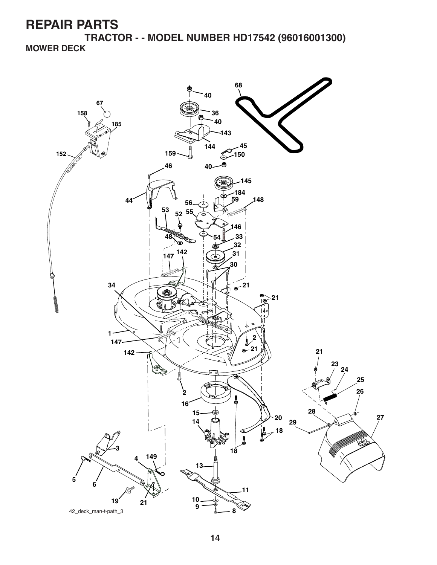**TRACTOR - - MODEL NUMBER HD17542 (96016001300) MOWER DECK**

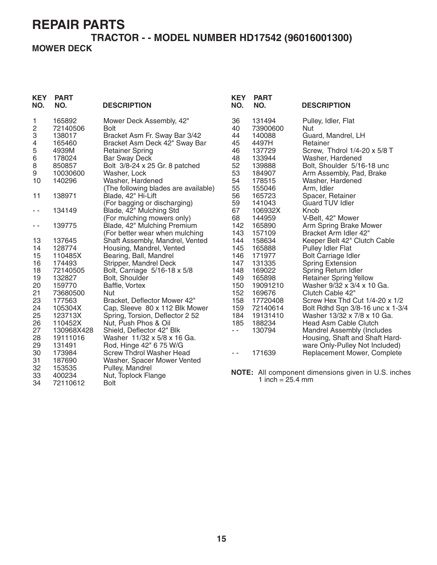34 72110612

#### **TRACTOR - - MODEL NUMBER HD17542 (96016001300) MOWER DECK**

| <b>KEY</b><br>NO. | <b>PART</b><br>NO. | <b>DESCRIPTION</b>                   | <b>KEY</b><br>NO. | <b>PART</b><br>NO.        | <b>DESCRIPTION</b>                                 |
|-------------------|--------------------|--------------------------------------|-------------------|---------------------------|----------------------------------------------------|
| 1                 | 165892             | Mower Deck Assembly, 42"             | 36                | 131494                    | Pulley, Idler, Flat                                |
| 2                 | 72140506           | <b>Bolt</b>                          | 40                | 73900600                  | Nut                                                |
| 3                 | 138017             | Bracket Asm Fr. Sway Bar 3/42        | 44                | 140088                    | Guard, Mandrel, LH                                 |
| 4                 | 165460             | Bracket Asm Deck 42" Sway Bar        | 45                | 4497H                     | Retainer                                           |
| 5                 | 4939M              | <b>Retainer Spring</b>               | 46                | 137729                    | Screw, Thdrol 1/4-20 x 5/8 T                       |
| 6                 | 178024             | <b>Bar Sway Deck</b>                 | 48                | 133944                    | Washer, Hardened                                   |
| 8                 | 850857             | Bolt 3/8-24 x 25 Gr. 8 patched       | 52                | 139888                    | Bolt, Shoulder 5/16-18 unc                         |
| 9                 | 10030600           | Washer, Lock                         | 53                | 184907                    | Arm Assembly, Pad, Brake                           |
| 10                | 140296             | Washer, Hardened                     | 54                | 178515                    | Washer, Hardened                                   |
|                   |                    | (The following blades are available) | 55                | 155046                    | Arm, Idler                                         |
| 11                | 138971             | Blade, 42" Hi-Lift                   | 56                | 165723                    | Spacer, Retainer                                   |
|                   |                    | (For bagging or discharging)         | 59                | 141043                    | <b>Guard TUV Idler</b>                             |
| - -               | 134149             | Blade, 42" Mulching Std              | 67                | 106932X                   | Knob                                               |
|                   |                    | (For mulching mowers only)           | 68                | 144959                    | V-Belt, 42" Mower                                  |
| - -               | 139775             | Blade, 42" Mulching Premium          | 142               | 165890                    | Arm Spring Brake Mower                             |
|                   |                    | (For better wear when mulching       | 143               | 157109                    | Bracket Arm Idler 42"                              |
| 13                | 137645             | Shaft Assembly, Mandrel, Vented      | 144               | 158634                    | Keeper Belt 42" Clutch Cable                       |
| 14                | 128774             | Housing, Mandrel, Vented             | 145               | 165888                    | <b>Pulley Idler Flat</b>                           |
| 15                | 110485X            | Bearing, Ball, Mandrel               | 146               | 171977                    | <b>Bolt Carriage Idler</b>                         |
| 16                | 174493             | Stripper, Mandrel Deck               | 147               | 131335                    | <b>Spring Extension</b>                            |
| 18                | 72140505           | Bolt, Carriage 5/16-18 x 5/8         | 148               | 169022                    | Spring Return Idler                                |
| 19                | 132827             | Bolt, Shoulder                       | 149               | 165898                    | <b>Retainer Spring Yellow</b>                      |
| 20                | 159770             | Baffle, Vortex                       | 150               | 19091210                  | Washer 9/32 x 3/4 x 10 Ga.                         |
| 21                | 73680500           | Nut                                  | 152               | 169676                    | Clutch Cable 42"                                   |
| 23                | 177563             | Bracket, Deflector Mower 42"         | 158               | 17720408                  | Screw Hex Thd Cut 1/4-20 x 1/2                     |
| 24                | 105304X            | Cap, Sleeve 80 x 112 Blk Mower       | 159               | 72140614                  | Bolt Rdhd Sqn 3/8-16 unc x 1-3/4                   |
| 25                | 123713X            | Spring, Torsion, Deflector 2 52      | 184               | 19131410                  | Washer 13/32 x 7/8 x 10 Ga.                        |
| 26                | 110452X            | Nut, Push Phos & Oil                 | 185               | 188234                    | Head Asm Cable Clutch                              |
| 27                | 130968X428         | Shield, Deflector 42" Blk            | $ -$              | 130794                    | Mandrel Assembly (Includes                         |
| 28                | 19111016           | Washer 11/32 x 5/8 x 16 Ga.          |                   |                           | Housing, Shaft and Shaft Hard-                     |
| 29                | 131491             | Rod, Hinge 42" 6 75 W/G              |                   |                           | ware Only-Pulley Not Included)                     |
| 30                | 173984             | Screw Thdrol Washer Head             | - -               | 171639                    | Replacement Mower, Complete                        |
| 31                | 187690             | Washer, Spacer Mower Vented          |                   |                           |                                                    |
| 32                | 153535             | Pulley, Mandrel                      |                   |                           | NOTE: All component dimensions given in U.S. inche |
| 33                | 400234             | Nut, Toplock Flange                  |                   | $1$ inch $-$ 05 $\ell$ mm |                                                    |